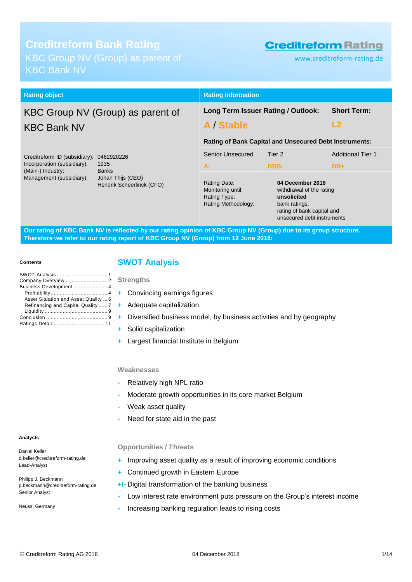# **Creditreform Bank Rating**

KBC Group NV (Group) as parent of KBC Bank NV

## **Creditreform Rating**

www.creditreform-rating.de

| <b>Rating object</b>                                                                                                                                                                                  |  | <b>Rating information</b>                                                |                                                                                                                                          |                                   |
|-------------------------------------------------------------------------------------------------------------------------------------------------------------------------------------------------------|--|--------------------------------------------------------------------------|------------------------------------------------------------------------------------------------------------------------------------------|-----------------------------------|
| KBC Group NV (Group) as parent of<br><b>KBC Bank NV</b>                                                                                                                                               |  | Long Term Issuer Rating / Outlook:<br>A / Stable                         | <b>Short Term:</b><br>L2                                                                                                                 |                                   |
| Creditreform ID (subsidiary):<br>0462920226<br>Incorporation (subsidiary):<br>1935<br>(Main-) Industry:<br><b>Banks</b><br>Management (subsidiary):<br>Johan Thijs (CEO)<br>Hendrik Scheerlinck (CFO) |  |                                                                          | <b>Rating of Bank Capital and Unsecured Debt Instruments:</b>                                                                            |                                   |
|                                                                                                                                                                                                       |  | Senior Unsecured<br>$A -$                                                | Tier 2<br><b>BBB-</b>                                                                                                                    | <b>Additional Tier 1</b><br>$BB+$ |
|                                                                                                                                                                                                       |  | Rating Date:<br>Monitoring until:<br>Rating Type:<br>Rating Methodology: | 04 December 2018<br>withdrawal of the rating<br>unsolicited<br>bank ratings;<br>rating of bank capital and<br>unsecured debt instruments |                                   |

**Our rating of KBC Bank NV is reflected by our rating opinion of KBC Group NV (Group) due to its group structure. Therefore we refer to our rating report of KBC Group NV (Group) from 12 June 2018:**

#### **Contents**

| Business Development 4               |  |
|--------------------------------------|--|
|                                      |  |
| Asset Situation and Asset Quality  6 |  |
| Refinancing and Capital Quality  7   |  |
|                                      |  |
|                                      |  |
|                                      |  |

## <span id="page-0-0"></span>**SWOT Analysis**

**Strengths**

- **+** Convincing earnings figures
- **+** Adequate capitalization
- **+** Diversified business model, by business activities and by geography
- **+** Solid capitalization
- **+** Largest financial Institute in Belgium

### **Weaknesses**

- **-** Relatively high NPL ratio
- **-** Moderate growth opportunities in its core market Belgium
- **-** Weak asset quality
- **-** Need for state aid in the past

#### **Opportunities / Threats**

- **+** Improving asset quality as a result of improving economic conditions
- **+** Continued growth in Eastern Europe
- **+/-** Digital transformation of the banking business
- **-** Low interest rate environment puts pressure on the Group's interest income
- **-** Increasing banking regulation leads to rising costs

#### **Analysts**

Daniel Keller d.keller@creditreform-rating.de Lead-Analyst

Philipp J. Beckmann p.beckmann@creditreform-rating.de Senior Analyst

Neuss, Germany

© Creditreform Rating AG 2018 04 December 2018 1/14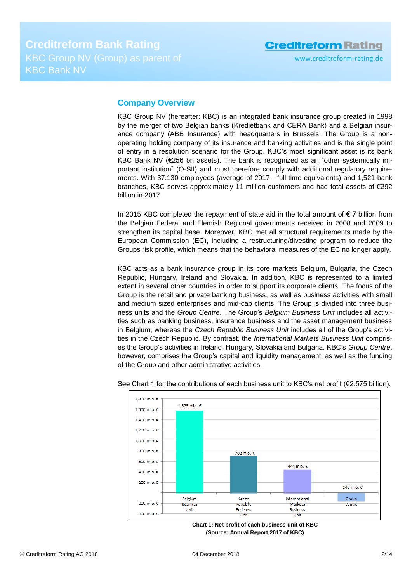## <span id="page-1-0"></span>**Company Overview**

KBC Group NV (hereafter: KBC) is an integrated bank insurance group created in 1998 by the merger of two Belgian banks (Kredietbank and CERA Bank) and a Belgian insurance company (ABB Insurance) with headquarters in Brussels. The Group is a nonoperating holding company of its insurance and banking activities and is the single point of entry in a resolution scenario for the Group. KBC's most significant asset is its bank KBC Bank NV ( $E$ 256 bn assets). The bank is recognized as an "other systemically important institution" (O-SII) and must therefore comply with additional regulatory requirements. With 37.130 employees (average of 2017 - full-time equivalents) and 1,521 bank branches, KBC serves approximately 11 million customers and had total assets of €292 billion in 2017.

In 2015 KBC completed the repayment of state aid in the total amount of  $\epsilon$  7 billion from the Belgian Federal and Flemish Regional governments received in 2008 and 2009 to strengthen its capital base. Moreover, KBC met all structural requirements made by the European Commission (EC), including a restructuring/divesting program to reduce the Groups risk profile, which means that the behavioral measures of the EC no longer apply.

KBC acts as a bank insurance group in its core markets Belgium, Bulgaria, the Czech Republic, Hungary, Ireland and Slovakia. In addition, KBC is represented to a limited extent in several other countries in order to support its corporate clients. The focus of the Group is the retail and private banking business, as well as business activities with small and medium sized enterprises and mid-cap clients. The Group is divided into three business units and the *Group Centre*. The Group's *Belgium Business Unit* includes all activities such as banking business, insurance business and the asset management business in Belgium, whereas the *Czech Republic Business Unit* includes all of the Group's activities in the Czech Republic. By contrast, the *International Markets Business Unit* comprises the Group's activities in Ireland, Hungary, Slovakia and Bulgaria. KBC's *Group Centre*, however, comprises the Group's capital and liquidity management, as well as the funding of the Group and other administrative activities.



See Chart 1 for the contributions of each business unit to KBC's net profit (€2.575 billion).

**Chart 1: Net profit of each business unit of KBC (Source: Annual Report 2017 of KBC)**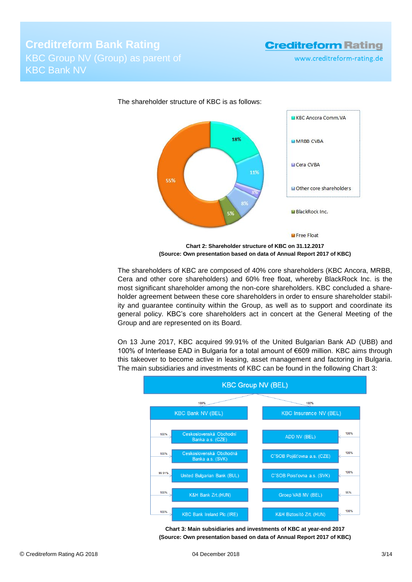www.creditreform-rating.de





The shareholders of KBC are composed of 40% core shareholders (KBC Ancora, MRBB, Cera and other core shareholders) and 60% free float, whereby BlackRock Inc. is the most significant shareholder among the non-core shareholders. KBC concluded a shareholder agreement between these core shareholders in order to ensure shareholder stability and guarantee continuity within the Group, as well as to support and coordinate its general policy. KBC's core shareholders act in concert at the General Meeting of the Group and are represented on its Board.

On 13 June 2017, KBC acquired 99.91% of the United Bulgarian Bank AD (UBB) and 100% of Interlease EAD in Bulgaria for a total amount of €609 million. KBC aims through this takeover to become active in leasing, asset management and factoring in Bulgaria. The main subsidiaries and investments of KBC can be found in the following Chart 3:



**Chart 3: Main subsidiaries and investments of KBC at year-end 2017 (Source: Own presentation based on data of Annual Report 2017 of KBC)**

**<sup>(</sup>Source: Own presentation based on data of Annual Report 2017 of KBC)**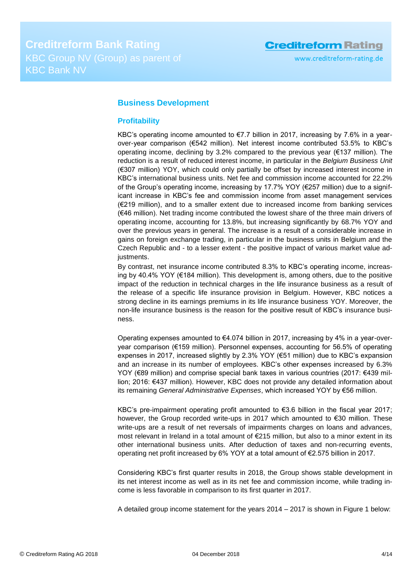## <span id="page-3-0"></span>**Business Development**

### <span id="page-3-1"></span>**Profitability**

KBC's operating income amounted to  $E$ 7.7 billion in 2017, increasing by 7.6% in a yearover-year comparison (€542 million). Net interest income contributed 53.5% to KBC's operating income, declining by 3.2% compared to the previous year (€137 million). The reduction is a result of reduced interest income, in particular in the *Belgium Business Unit* (€307 million) YOY, which could only partially be offset by increased interest income in KBC's international business units. Net fee and commission income accounted for 22.2% of the Group's operating income, increasing by 17.7% YOY (€257 million) due to a significant increase in KBC's fee and commission income from asset management services (€219 million), and to a smaller extent due to increased income from banking services (€46 million). Net trading income contributed the lowest share of the three main drivers of operating income, accounting for 13.8%, but increasing significantly by 68.7% YOY and over the previous years in general. The increase is a result of a considerable increase in gains on foreign exchange trading, in particular in the business units in Belgium and the Czech Republic and - to a lesser extent - the positive impact of various market value adjustments.

By contrast, net insurance income contributed 8.3% to KBC's operating income, increasing by 40.4% YOY (€184 million). This development is, among others, due to the positive impact of the reduction in technical charges in the life insurance business as a result of the release of a specific life insurance provision in Belgium. However, KBC notices a strong decline in its earnings premiums in its life insurance business YOY. Moreover, the non-life insurance business is the reason for the positive result of KBC's insurance business.

Operating expenses amounted to  $€4.074$  billion in 2017, increasing by 4% in a year-overyear comparison (€159 million). Personnel expenses, accounting for 56.5% of operating expenses in 2017, increased slightly by 2.3% YOY (€51 million) due to KBC's expansion and an increase in its number of employees. KBC's other expenses increased by 6.3% YOY (€89 million) and comprise special bank taxes in various countries (2017: €439 million; 2016: €437 million). However, KBC does not provide any detailed information about its remaining *General Administrative Expenses*, which increased YOY by €56 million.

KBC's pre-impairment operating profit amounted to  $€3.6$  billion in the fiscal year 2017; however, the Group recorded write-ups in 2017 which amounted to €30 million. These write-ups are a result of net reversals of impairments charges on loans and advances, most relevant in Ireland in a total amount of €215 million, but also to a minor extent in its other international business units. After deduction of taxes and non-recurring events, operating net profit increased by 6% YOY at a total amount of €2.575 billion in 2017.

Considering KBC's first quarter results in 2018, the Group shows stable development in its net interest income as well as in its net fee and commission income, while trading income is less favorable in comparison to its first quarter in 2017.

A detailed group income statement for the years 2014 – 2017 is shown in Figure 1 below: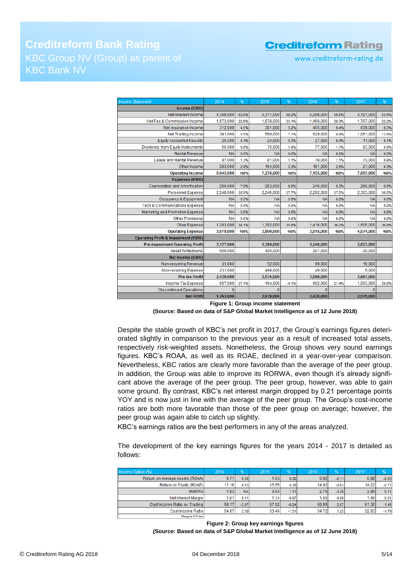# **Creditreform Bank Rating** KBC Group NV (Group) as parent of KBC Bank NV

## **Creditreform Rating**

www.creditreform-rating.de

| <b>Income Statement</b>                  | 2014      | %     | 2015       | %       | 2016      | %     | 2017      | %     |
|------------------------------------------|-----------|-------|------------|---------|-----------|-------|-----------|-------|
| Income ( $\epsilon$ 000)                 |           |       |            |         |           |       |           |       |
| Net Interest Income                      | 4,308,000 | 62.0% | 4,311,000  | 59.2%   | 4,258,000 | 59.5% | 4,121,000 | 53.5% |
| Net Fee & Commission Income              | 1,573,000 | 22.6% | 1,678,000  | 23.1%   | 1,450,000 | 20.3% | 1,707,000 | 22.2% |
| Net Insurance Income                     | 312,000   | 4.5%  | 381,000    | 5.2%    | 455,000   | 6.4%  | 639,000   | 8.3%  |
| <b>Net Trading Income</b>                | 381,000   | 5.5%  | 560,000    | 7.7%    | 629.000   | 8.8%  | 1,061,000 | 13.8% |
| <b>Equity Accounted Results</b>          | 25,000    | 0.4%  | 24,000     | 0.3%    | 27,000    | 0.4%  | 11,000    | 0.1%  |
| Dividends from Equity Instruments        | 56,000    | 0.8%  | 75,000     | 1.0%    | 77,000    | 1.1%  | 63,000    | 0.8%  |
| <b>Rental Revenue</b>                    | <b>NA</b> | 0.0%  | <b>NA</b>  | 0.0%    | <b>NA</b> | 0.0%  | <b>NA</b> | 0.0%  |
| Lease and Rental Revenue                 | 87,000    | 1.3%  | 81,000     | 1.1%    | 78,000    | 1.1%  | 73,000    | 0.9%  |
| Other Income                             | 203,000   | 2.9%  | 164,000    | 2.3%    | 181,000   | 2.5%  | 21,000    | 0.3%  |
| <b>Operating Income</b>                  | 6,945,000 | 100%  | 7,276,000  | 100%    | 7,155,000 | 100%  | 7,697,000 | 100%  |
| Expenses (€000)                          |           |       |            |         |           |       |           |       |
| Depreciation and Amortisation            | 266,000   | 7.0%  | 253,000    | 6.5%    | 246,000   | 6.3%  | 266,000   | 6.5%  |
| <b>Personnel Expense</b>                 | 2,248,000 | 58.9% | 2,245,000  | 57.7%   | 2,252,000 | 57.5% | 2,303,000 | 56.5% |
| Occupancy & Equipment                    | <b>NA</b> | 0.0%  | <b>NA</b>  | 0.0%    | <b>NA</b> | 0.0%  | <b>NA</b> | 0.0%  |
| <b>Tech &amp; Communications Expense</b> | <b>NA</b> | 0.0%  | <b>NA</b>  | 0.0%    | <b>NA</b> | 0.0%  | <b>NA</b> | 0.0%  |
| Marketing and Promotion Expense          | <b>NA</b> | 0.0%  | <b>NA</b>  | 0.0%    | <b>NA</b> | 0.0%  | <b>NA</b> | 0.0%  |
| <b>Other Provisions</b>                  | <b>NA</b> | 0.0%  | <b>NA</b>  | 0.0%    | <b>NA</b> | 0.0%  | <b>NA</b> | 0.0%  |
| <b>Other Expense</b>                     | 1,303,000 | 34.1% | 1,392,000  | 35.8%   | 1,416,000 | 36.2% | 1,505,000 | 36.9% |
| <b>Operating Expense</b>                 | 3,818,000 | 100%  | 3,890,000  | 100%    | 3,915,000 | 100%  | 4,074,000 | 100%  |
| Operating Profit & Impairment (€000)     |           |       |            |         |           |       |           |       |
| <b>Pre-impairment Operating Profit</b>   | 3,127,000 |       | 3,386,000  |         | 3,240,000 |       | 3,623,000 |       |
| Asset Writedowns                         | 506,000   |       | 405,000    |         | 201.000   |       | $-30,000$ |       |
| Net Income (€000)                        |           |       |            |         |           |       |           |       |
| Non-recurring Revenue                    | 31,000    |       | 52,000     |         | 99,000    |       | 19,000    |       |
| Non-recurring Expense                    | 231,000   |       | 498,000    |         | 49.000    |       | 5.000     |       |
| <b>Pre-tax Profit</b>                    | 2,420,000 |       | 2,535,000  |         | 3,090,000 |       | 3,667,000 |       |
| Income Tax Expense                       | 657,000   | 27.1% | $-104,000$ | $-4.1%$ | 662,000   | 21.4% | 1,093,000 | 29.8% |
| <b>Discontinued Operations</b>           | n         |       | $\Omega$   |         | $\Omega$  |       | $\Omega$  |       |
| <b>Net Profit</b>                        | 1,763,000 |       | 2,639,000  |         | 2,428,000 |       | 2,575,000 |       |

**Figure 1: Group income statement**

#### **(Source: Based on data of S&P Global Market Intelligence as of 12 June 2018)**

Despite the stable growth of KBC's net profit in 2017, the Group's earnings figures deteriorated slightly in comparison to the previous year as a result of increased total assets, respectively risk-weighted assets. Nonetheless, the Group shows very sound earnings figures. KBC's ROAA, as well as its ROAE, declined in a year-over-year comparison. Nevertheless, KBC ratios are clearly more favorable than the average of the peer group. In addition, the Group was able to improve its RORWA, even though it's already significant above the average of the peer group. The peer group, however, was able to gain some ground. By contrast, KBC's net interest margin dropped by 0.21 percentage points YOY and is now just in line with the average of the peer group. The Group's cost-income ratios are both more favorable than those of the peer group on average; however, the peer group was again able to catch up slightly.

KBC's earnings ratios are the best performers in any of the areas analyzed.

The development of the key earnings figures for the years 2014 - 2017 is detailed as follows:

| Income Ratios (%)               | 2014  | %          | 2015  | $\frac{9}{6}$ | 2016  | %       | 2017  | 96      |
|---------------------------------|-------|------------|-------|---------------|-------|---------|-------|---------|
| Return on Average Assets (ROAA) | 0.71  | 0.30       | 1.03  | 0.32          | 0.92  | $-0.11$ | 0.88  | $-0.03$ |
| Return on Equity (ROAE)         | 11.16 | 4.53       | 15.55 | 4.39          | 14.92 | $-0.63$ | 14.22 | $-0.71$ |
| RoRWA                           | 1.93  | <b>NAI</b> | 3.04  | 1.11          | 2.76  | $-0.28$ | 2.86  | 0.11    |
| Net Interest Margin             | 1.81  | 0.11       | 1.74  | $-0.07$       | 1.66  | $-0.08$ | 1.46  | $-0.21$ |
| Cost income Ratio ex. Trading   | 58.17 | $-3.97$    | 57.92 | $-0.24$       | 59.99 | 2.07    | 61.39 | 1.40    |
| Cost income Ratio               | 54.97 | 3.58       | 53.46 | $-1.51$       | 54.72 | 1.25    | 52.93 | $-1.79$ |
| Change in X-Points              |       |            |       |               |       |         |       |         |

**Figure 2: Group key earnings figures (Source: Based on data of S&P Global Market Intelligence as of 12 June 2018)**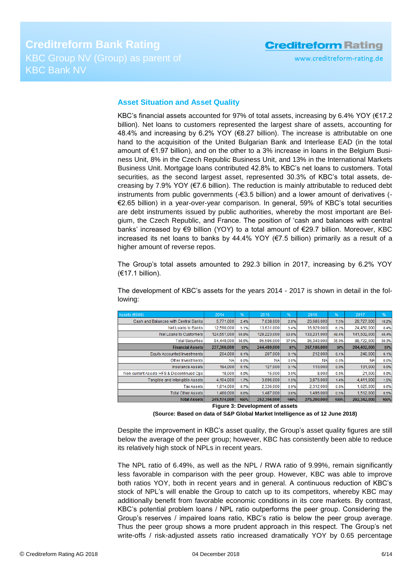# **Creditreform Rating**

### <span id="page-5-0"></span>**Asset Situation and Asset Quality**

KBC's financial assets accounted for 97% of total assets, increasing by 6.4% YOY ( $\epsilon$ 17.2 billion). Net loans to customers represented the largest share of assets, accounting for 48.4% and increasing by 6.2% YOY (€8.27 billion). The increase is attributable on one hand to the acquisition of the United Bulgarian Bank and Interlease EAD (in the total amount of €1.97 billion), and on the other to a 3% increase in loans in the Belgium Business Unit, 8% in the Czech Republic Business Unit, and 13% in the International Markets Business Unit. Mortgage loans contributed 42.8% to KBC's net loans to customers. Total securities, as the second largest asset, represented 30.3% of KBC's total assets, decreasing by 7.9% YOY ( $E$ 7.6 billion). The reduction is mainly attributable to reduced debt instruments from public governments (-€3.5 billion) and a lower amount of derivatives (- €2.65 billion) in a year-over-year comparison. In general, 59% of KBC's total securities are debt instruments issued by public authorities, whereby the most important are Belgium, the Czech Republic, and France. The position of 'cash and balances with central banks' increased by  $\epsilon$ 9 billion (YOY) to a total amount of  $\epsilon$ 29.7 billion. Moreover, KBC increased its net loans to banks by 44.4% YOY ( $E$ 7.5 billion) primarily as a result of a higher amount of reverse repos.

The Group's total assets amounted to 292.3 billion in 2017, increasing by 6.2% YOY (€17.1 billion).

The development of KBC's assets for the years 2014 - 2017 is shown in detail in the following:

| Assets (€000)                             | 2014        | %     | 2015        | $\sqrt{96}$ | 2016        | %     | 2017        | 96    |
|-------------------------------------------|-------------|-------|-------------|-------------|-------------|-------|-------------|-------|
| Cash and Balances with Central Banks      | 5,771,000   | 2.4%  | 7,038,000   | 2.8%        | 20,686,000  | 7.5%  | 29,727,000  | 10.2% |
| Net Loans to Banks                        | 12.590.000  | 5.1%  | 13,631,000  | 5.4%        | 16,929,000  | 6.2%  | 24,450,000  | 8.4%  |
| Net Loans to Customers                    | 124,551,000 | 50.8% | 128,223,000 | 50.8%       | 133,231,000 | 48.4% | 141,502,000 | 48.4% |
| <b>Total Securities</b>                   | 94,449,000  | 38.5% | 95,596,000  | 37.9%       | 96,340,000  | 35.0% | 88,722,000  | 30.3% |
| <b>Financial Assets</b>                   | 237,360,000 | 97%   | 244,489,000 | 97%         | 267,186,000 | 97%   | 284,402,000 | 97%   |
| Equity Accounted Investments              | 204,000     | 0.1%  | 207,000     | 0.1%        | 212,000     | 0.1%  | 240,000     | 0.1%  |
| Other Investments                         | <b>NA</b>   | 0.0%  | <b>NA</b>   | 0.0%        | <b>NA</b>   | 0.0%  | <b>NA</b>   | 0.0%  |
| Insurance Assets                          | 194,000     | 0.1%  | 127,000     | 0.1%        | 110,000     | 0.0%  | 131,000     | 0.0%  |
| Non-current Assets HFS & Discontinued Ops | 18,000      | 0.0%  | 15,000      | 0.0%        | 8.000       | 0.0%  | 21,000      | 0.0%  |
| Tangible and Intangible Assets            | 4.104.000   | 1.7%  | 3,696,000   | 1.5%        | 3,876,000   | 1.4%  | 4.411.000   | 1.5%  |
| <b>Tax Assets</b>                         | 1.814.000   | 0.7%  | 2,336,000   | 0.9%        | 2.312.000   | 0.8%  | 1.625.000   | 0.6%  |
| <b>Total Other Assets</b>                 | 1.480.000   | 0.6%  | 1.487.000   | 0.6%        | 1.496.000   | 0.5%  | 1.512.000   | 0.5%  |
| <b>Total Assets</b>                       | 245,174,000 | 100%  | 252,356,000 | 100%        | 275,200,000 | 100%  | 292.342.000 | 100%  |

**Figure 3: Development of assets**

**(Source: Based on data of S&P Global Market Intelligence as of 12 June 2018)**

Despite the improvement in KBC's asset quality, the Group's asset quality figures are still below the average of the peer group; however, KBC has consistently been able to reduce its relatively high stock of NPLs in recent years.

The NPL ratio of 6.49%, as well as the NPL / RWA ratio of 9.99%, remain significantly less favorable in comparison with the peer group. However, KBC was able to improve both ratios YOY, both in recent years and in general. A continuous reduction of KBC's stock of NPL's will enable the Group to catch up to its competitors, whereby KBC may additionally benefit from favorable economic conditions in its core markets. By contrast, KBC's potential problem loans / NPL ratio outperforms the peer group. Considering the Group's reserves / impaired loans ratio, KBC's ratio is below the peer group average. Thus the peer group shows a more prudent approach in this respect. The Group's net write-offs / risk-adjusted assets ratio increased dramatically YOY by 0.65 percentage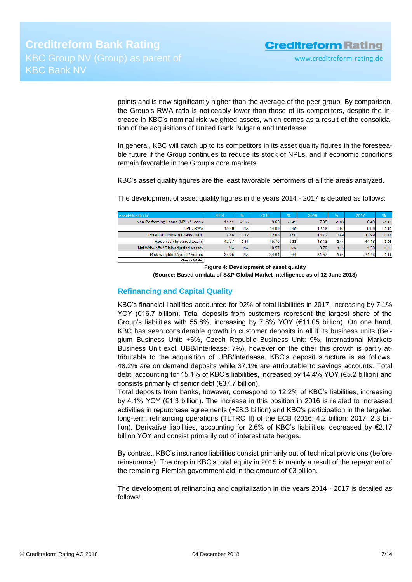points and is now significantly higher than the average of the peer group. By comparison, the Group's RWA ratio is noticeably lower than those of its competitors, despite the increase in KBC's nominal risk-weighted assets, which comes as a result of the consolidation of the acquisitions of United Bank Bulgaria and Interlease.

In general, KBC will catch up to its competitors in its asset quality figures in the foreseeable future if the Group continues to reduce its stock of NPLs, and if economic conditions remain favorable in the Group's core markets.

KBC's asset quality figures are the least favorable performers of all the areas analyzed.

The development of asset quality figures in the years 2014 - 2017 is detailed as follows:

| Asset-Quality (%)                     | 2014      | %         | 2015  | %          | 2016  | %       | 2017  | %       |
|---------------------------------------|-----------|-----------|-------|------------|-------|---------|-------|---------|
| Non-Performing Loans (NPL) / Loans    | 11.11     | $-0.55$   | 9.63  | $-1.49$    | 7.95  | $-1.68$ | 6.49  | $-1.45$ |
| NPL / RWA                             | 15.49     | <b>NA</b> | 14.09 | $-1.40$    | 12.18 | $-1.91$ | 9.99  | $-2.19$ |
| Potential Problem Loans / NPL         | 7.46      | $-2.72$   | 12.03 | 4.58       | 14.72 | 2.69    | 13.99 | $-0.74$ |
| Reserves / Impaired Loans             | 42.37     | 2.14      | 45.70 | 3.33       | 48.13 | 2.44    | 44.18 | $-3.96$ |
| Net Write-offs / Risk-adjusted Assets | <b>NA</b> | <b>NA</b> | 0.57  | <b>NAI</b> | 0.72  | 0.15    | 1.38  | 0.65    |
| Risk-weighted Assets/ Assets          | 36.05     | <b>NA</b> | 34.61 | $-1.44$    | 31.57 | $-3.04$ | 31.46 | $-0.11$ |
| Change in S-Points                    |           |           |       |            |       |         |       |         |

**Figure 4: Development of asset quality (Source: Based on data of S&P Global Market Intelligence as of 12 June 2018)**

### <span id="page-6-0"></span>**Refinancing and Capital Quality**

KBC's financial liabilities accounted for 92% of total liabilities in 2017, increasing by 7.1% YOY (€16.7 billion). Total deposits from customers represent the largest share of the Group's liabilities with 55.8%, increasing by 7.8% YOY (€11.05 billion). On one hand, KBC has seen considerable growth in customer deposits in all if its business units (Belgium Business Unit: +6%, Czech Republic Business Unit: 9%, International Markets Business Unit excl. UBB/Interlease: 7%), however on the other this growth is partly attributable to the acquisition of UBB/Interlease. KBC's deposit structure is as follows: 48.2% are on demand deposits while 37.1% are attributable to savings accounts. Total debt, accounting for 15.1% of KBC's liabilities, increased by 14.4% YOY (€5.2 billion) and consists primarily of senior debt (€37.7 billion).

Total deposits from banks, however, correspond to 12.2% of KBC's liabilities, increasing by 4.1% YOY (€1.3 billion). The increase in this position in 2016 is related to increased activities in repurchase agreements (+€8.3 billion) and KBC's participation in the targeted long-term refinancing operations (TLTRO II) of the ECB (2016: 4.2 billion; 2017: 2.3 billion). Derivative liabilities, accounting for 2.6% of KBC's liabilities, decreased by €2.17 billion YOY and consist primarily out of interest rate hedges.

By contrast, KBC's insurance liabilities consist primarily out of technical provisions (before reinsurance). The drop in KBC's total equity in 2015 is mainly a result of the repayment of the remaining Flemish government aid in the amount of €3 billion.

The development of refinancing and capitalization in the years 2014 - 2017 is detailed as follows: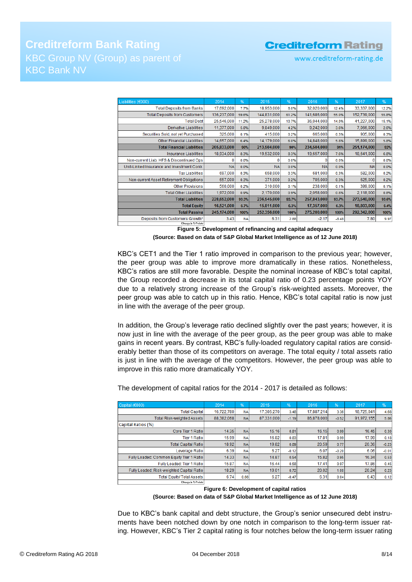# **Creditreform Bank Rating** KBC Group NV (Group) as parent of KBC Bank NV

## **Creditreform Rating**

www.creditreform-rating.de

| Liabilities (€000)                          | 2014        | %         | 2015        | %     | 2016        | %       | 2017        | %     |
|---------------------------------------------|-------------|-----------|-------------|-------|-------------|---------|-------------|-------|
| <b>Total Deposits from Banks</b>            | 17,692,000  | 7.7%      | 18,953,000  | 8.0%  | 32,020,000  | 12.4%   | 33,337,000  | 12.2% |
| <b>Total Deposits from Customers</b>        | 136,237,000 | 59.6%     | 144,831,000 | 61.2% | 141,686,000 | 55.0%   | 152,739,000 | 55.8% |
| <b>Total Debt</b>                           | 25,546,000  | 11.2%     | 25,278,000  | 10.7% | 36,044,000  | 14.0%   | 41,227,000  | 15.1% |
| Derivative Liabilities                      | 11,377,000  | 5.0%      | 9,849,000   | 4.2%  | 9,242,000   | 3.6%    | 7,066,000   | 2.6%  |
| Securities Sold, not yet Purchased          | 325,000     | 0.1%      | 415,000     | 0.2%  | 665,000     | 0.3%    | 905,000     | 0.3%  |
| Other Financial Liabilities                 | 14,657,000  | 6.4%      | 14,179,000  | 6.0%  | 14,848,000  | 5.8%    | 15,899,000  | 5.8%  |
| <b>Total Financial Liabilities</b>          | 205,833,000 | 90%       | 213,504,000 | 90%   | 234,504,000 | 91%     | 251,174,000 | 92%   |
| <b>Insurance Liabilities</b>                | 18,934,000  | 8.3%      | 19,532,000  | 8.3%  | 19,657,000  | 7.6%    | 18,641,000  | 6.8%  |
| Non-current Liab. HFS & Discontinued Ops    | 0           | 0.0%      |             | 0.0%  | o           | 0.0%    | 0           | 0.0%  |
| Unit-Linked Insurance and Investment Contr. | <b>NA</b>   | 0.0%      | <b>NA</b>   | 0.0%  | <b>NA</b>   | 0.0%    | <b>NA</b>   | 0.0%  |
| <b>Tax Liabilities</b>                      | 697,000     | 0.3%      | 658,000     | 0.3%  | 681,000     | 0.3%    | 582,000     | 0.2%  |
| Non-current Asset Retirement Obligations    | 657,000     | 0.3%      | 371,000     | 0.2%  | 705,000     | 0.3%    | 625,000     | 0.2%  |
| <b>Other Provisions</b>                     | 560,000     | 0.2%      | 310,000     | 0.1%  | 238,000     | 0.1%    | 399,000     | 0.1%  |
| <b>Total Other Liabilities</b>              | 1,972,000   | 0.9%      | 2.170,000   | 0.9%  | 2,058,000   | 0.8%    | 2.118,000   | 0.8%  |
| <b>Total Liabilities</b>                    | 228,652,000 | 93.3%     | 236,545,000 | 93.7% | 257,843,000 | 93.7%   | 273,540,000 | 93.6% |
| <b>Total Equity</b>                         | 16,521,000  | 6.7%      | 15,811,000  | 6.3%  | 17,357,000  | 6.3%    | 18,803,000  | 6.4%  |
| <b>Total Passiva</b>                        | 245,174,000 | 100%      | 252,356,000 | 100%  | 275,200,000 | 100%    | 292,342,000 | 100%  |
| Deposits from Customers Growth*             | 3.43        | <b>NA</b> | 6.31        | 2.88  | $-2.17$     | $-8.48$ | 7.80        | 9.97  |
| Change in 2-Points                          |             |           |             |       |             |         |             |       |

**Figure 5: Development of refinancing and capital adequacy (Source: Based on data of S&P Global Market Intelligence as of 12 June 2018)**

KBC's CET1 and the Tier 1 ratio improved in comparison to the previous year; however, the peer group was able to improve more dramatically in these ratios. Nonetheless, KBC's ratios are still more favorable. Despite the nominal increase of KBC's total capital, the Group recorded a decrease in its total capital ratio of 0.23 percentage points YOY due to a relatively strong increase of the Group's risk-weighted assets. Moreover, the peer group was able to catch up in this ratio. Hence, KBC's total capital ratio is now just in line with the average of the peer group.

In addition, the Group's leverage ratio declined slightly over the past years; however, it is now just in line with the average of the peer group, as the peer group was able to make gains in recent years. By contrast, KBC's fully-loaded regulatory capital ratios are considerably better than those of its competitors on average. The total equity / total assets ratio is just in line with the average of the competitors. However, the peer group was able to improve in this ratio more dramatically YOY.

| Capital (€000)                            | 2014       | %         | 2015       | %       | 2016       | %       | 2017       | %       |
|-------------------------------------------|------------|-----------|------------|---------|------------|---------|------------|---------|
| <b>Total Capital</b>                      | 16.722.780 | <b>NA</b> | 17.305.270 | 3.48    | 17.887.214 | 3.36    | 18.725.041 | 4.68    |
| Total Risk-weighted Assets                | 88,382,068 | <b>NA</b> | 87,331,000 | $-1.19$ | 86,878,000 | $-0.52$ | 91,972,155 | 5.86    |
| Capital Ratios (%)                        |            |           |            |         |            |         |            |         |
| Core Tier 1 Ratio                         | 14.35      | <b>NA</b> | 15.16      | 0.81    | 16.15      | 0.99    | 16.45      | 0.30    |
| <b>Tier 1 Ratiol</b>                      | 15.99      | <b>NA</b> | 16.82      | 0.83    | 17.81      | 0.99    | 17.99      | 0.18    |
| <b>Total Capital Ratio</b>                | 18.92      | <b>NA</b> | 19.82      | 0.89    | 20.59      | 0.77    | 20.36      | $-0.23$ |
| Leverage Ratio                            | 6.39       | NA        | 6.27       | $-0.12$ | 6.07       | $-0.20$ | 6.06       | $-0.01$ |
| Fully Loaded: Common Equity Tier 1 Ratio  | 14.33      | <b>NA</b> | 14.87      | 0.54    | 15.82      | 0.95    | 16.34      | 0.53    |
| Fully Loaded: Tier 1 Ratio                | 15.87      | <b>NA</b> | 16.44      | 0.58    | 17.41      | 0.97    | 17.86      | 0.45    |
| Fully Loaded: Risk-weighted Capital Ratio | 18.29      | <b>NA</b> | 19.01      | 0.72    | 20.02      | 1.00    | 20.24      | 0.23    |
| <b>Total Equity/ Total Assets</b>         | 6.74       | 0.66      | 6.27       | $-0.47$ | 6.31       | 0.04    | 6.43       | 0.12    |
| Change in Z-Points                        |            |           |            |         |            |         |            |         |

The development of capital ratios for the 2014 - 2017 is detailed as follows:

**Figure 6: Development of capital ratios**

#### **(Source: Based on data of S&P Global Market Intelligence as of 12 June 2018)**

Due to KBC's bank capital and debt structure, the Group's senior unsecured debt instruments have been notched down by one notch in comparison to the long-term issuer rating. However, KBC's Tier 2 capital rating is four notches below the long-term issuer rating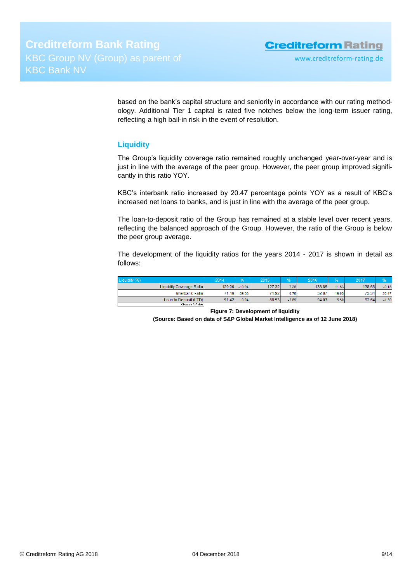based on the bank's capital structure and seniority in accordance with our rating methodology. Additional Tier 1 capital is rated five notches below the long-term issuer rating, reflecting a high bail-in risk in the event of resolution.

## <span id="page-8-0"></span>**Liquidity**

The Group's liquidity coverage ratio remained roughly unchanged year-over-year and is just in line with the average of the peer group. However, the peer group improved significantly in this ratio YOY.

KBC's interbank ratio increased by 20.47 percentage points YOY as a result of KBC's increased net loans to banks, and is just in line with the average of the peer group.

The loan-to-deposit ratio of the Group has remained at a stable level over recent years, reflecting the balanced approach of the Group. However, the ratio of the Group is below the peer group average.

The development of the liquidity ratios for the years 2014 - 2017 is shown in detail as follows:

| Liquidity (%)            | 2014   | 96'      | 2015   |         | 2016   | %        | 2017   |         |
|--------------------------|--------|----------|--------|---------|--------|----------|--------|---------|
| Liquidity Coverage Ratio | 120.06 | $-10.94$ | 127.32 | 7.26    | 138.85 | 11.53    | 138.68 | $-0.18$ |
| Interbank Ratio          | 71.16  | $-39.35$ | 71.921 | 0.76    | 52.87  | $-19.05$ | 73.34  | 20.47   |
| Loan to Deposit (LTD)    | 91.42  | 0.04     | 88.53  | $-2.89$ | 94.03  | 5.50     | 92.64  | $-1.39$ |
| Change in & Points       |        |          |        |         |        |          |        |         |

**Figure 7: Development of liquidity**

<span id="page-8-1"></span>**(Source: Based on data of S&P Global Market Intelligence as of 12 June 2018)**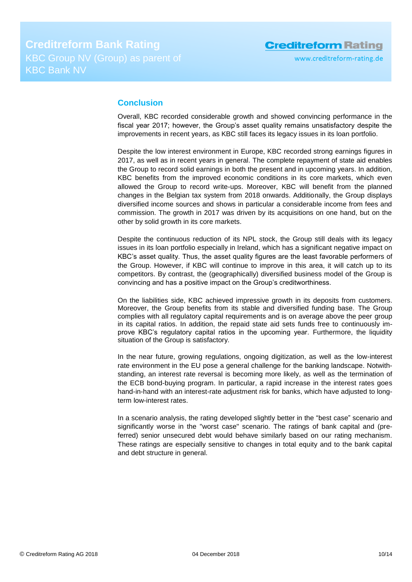## **Conclusion**

Overall, KBC recorded considerable growth and showed convincing performance in the fiscal year 2017; however, the Group's asset quality remains unsatisfactory despite the improvements in recent years, as KBC still faces its legacy issues in its loan portfolio.

Despite the low interest environment in Europe, KBC recorded strong earnings figures in 2017, as well as in recent years in general. The complete repayment of state aid enables the Group to record solid earnings in both the present and in upcoming years. In addition, KBC benefits from the improved economic conditions in its core markets, which even allowed the Group to record write-ups. Moreover, KBC will benefit from the planned changes in the Belgian tax system from 2018 onwards. Additionally, the Group displays diversified income sources and shows in particular a considerable income from fees and commission. The growth in 2017 was driven by its acquisitions on one hand, but on the other by solid growth in its core markets.

Despite the continuous reduction of its NPL stock, the Group still deals with its legacy issues in its loan portfolio especially in Ireland, which has a significant negative impact on KBC's asset quality. Thus, the asset quality figures are the least favorable performers of the Group. However, if KBC will continue to improve in this area, it will catch up to its competitors. By contrast, the (geographically) diversified business model of the Group is convincing and has a positive impact on the Group's creditworthiness.

On the liabilities side, KBC achieved impressive growth in its deposits from customers. Moreover, the Group benefits from its stable and diversified funding base. The Group complies with all regulatory capital requirements and is on average above the peer group in its capital ratios. In addition, the repaid state aid sets funds free to continuously improve KBC's regulatory capital ratios in the upcoming year. Furthermore, the liquidity situation of the Group is satisfactory.

In the near future, growing regulations, ongoing digitization, as well as the low-interest rate environment in the EU pose a general challenge for the banking landscape. Notwithstanding, an interest rate reversal is becoming more likely, as well as the termination of the ECB bond-buying program. In particular, a rapid increase in the interest rates goes hand-in-hand with an interest-rate adjustment risk for banks, which have adjusted to longterm low-interest rates.

In a scenario analysis, the rating developed slightly better in the "best case" scenario and significantly worse in the "worst case" scenario. The ratings of bank capital and (preferred) senior unsecured debt would behave similarly based on our rating mechanism. These ratings are especially sensitive to changes in total equity and to the bank capital and debt structure in general.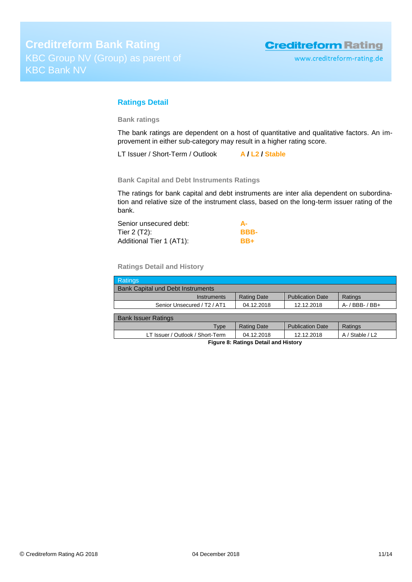## <span id="page-10-0"></span>**Ratings Detail**

**Bank ratings**

The bank ratings are dependent on a host of quantitative and qualitative factors. An improvement in either sub-category may result in a higher rating score.

LT Issuer / Short-Term / Outlook **A / L2 / Stable**

**Bank Capital and Debt Instruments Ratings**

The ratings for bank capital and debt instruments are inter alia dependent on subordination and relative size of the instrument class, based on the long-term issuer rating of the bank.

| Senior unsecured debt:   | А-   |
|--------------------------|------|
| Tier 2 (T2):             | BBB- |
| Additional Tier 1 (AT1): | BB+  |

**Ratings Detail and History**

| <b>Ratings</b>                                      |                    |                         |                      |  |  |  |
|-----------------------------------------------------|--------------------|-------------------------|----------------------|--|--|--|
| <b>Bank Capital und Debt Instruments</b>            |                    |                         |                      |  |  |  |
| Instruments                                         | <b>Rating Date</b> | <b>Publication Date</b> | Ratings              |  |  |  |
| Senior Unsecured / T <sub>2</sub> / AT <sub>1</sub> | 04.12.2018         | 12.12.2018              | $A - / BBB - / BB +$ |  |  |  |
|                                                     |                    |                         |                      |  |  |  |
| <b>Bank Issuer Ratings</b>                          |                    |                         |                      |  |  |  |
| Type                                                | <b>Rating Date</b> | <b>Publication Date</b> | Ratings              |  |  |  |
| LT Issuer / Outlook / Short-Term                    | 04.12.2018         | 12.12.2018              | A / Stable / L2      |  |  |  |
| Figure 8: Ratings Detail and History                |                    |                         |                      |  |  |  |

**Figure 8: Ratings Detail and History**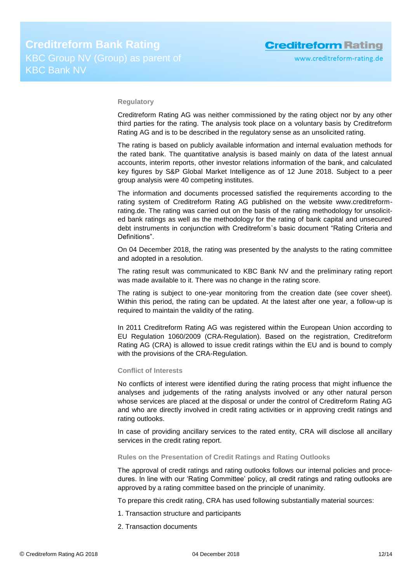### **Regulatory**

Creditreform Rating AG was neither commissioned by the rating object nor by any other third parties for the rating. The analysis took place on a voluntary basis by Creditreform Rating AG and is to be described in the regulatory sense as an unsolicited rating.

The rating is based on publicly available information and internal evaluation methods for the rated bank. The quantitative analysis is based mainly on data of the latest annual accounts, interim reports, other investor relations information of the bank, and calculated key figures by S&P Global Market Intelligence as of 12 June 2018. Subject to a peer group analysis were 40 competing institutes.

The information and documents processed satisfied the requirements according to the rating system of Creditreform Rating AG published on the website www.creditreformrating.de. The rating was carried out on the basis of the rating methodology for unsolicited bank ratings as well as the methodology for the rating of bank capital and unsecured debt instruments in conjunction with Creditreform`s basic document "Rating Criteria and Definitions".

On 04 December 2018, the rating was presented by the analysts to the rating committee and adopted in a resolution.

The rating result was communicated to KBC Bank NV and the preliminary rating report was made available to it. There was no change in the rating score.

The rating is subject to one-year monitoring from the creation date (see cover sheet). Within this period, the rating can be updated. At the latest after one year, a follow-up is required to maintain the validity of the rating.

In 2011 Creditreform Rating AG was registered within the European Union according to EU Regulation 1060/2009 (CRA-Regulation). Based on the registration, Creditreform Rating AG (CRA) is allowed to issue credit ratings within the EU and is bound to comply with the provisions of the CRA-Regulation.

#### **Conflict of Interests**

No conflicts of interest were identified during the rating process that might influence the analyses and judgements of the rating analysts involved or any other natural person whose services are placed at the disposal or under the control of Creditreform Rating AG and who are directly involved in credit rating activities or in approving credit ratings and rating outlooks.

In case of providing ancillary services to the rated entity, CRA will disclose all ancillary services in the credit rating report.

### **Rules on the Presentation of Credit Ratings and Rating Outlooks**

The approval of credit ratings and rating outlooks follows our internal policies and procedures. In line with our 'Rating Committee' policy, all credit ratings and rating outlooks are approved by a rating committee based on the principle of unanimity.

To prepare this credit rating, CRA has used following substantially material sources:

- 1. Transaction structure and participants
- 2. Transaction documents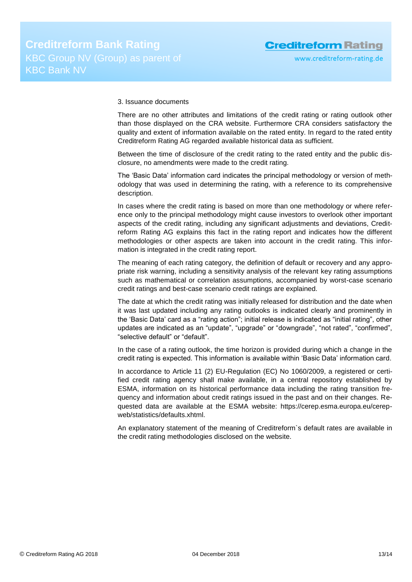### 3. Issuance documents

There are no other attributes and limitations of the credit rating or rating outlook other than those displayed on the CRA website. Furthermore CRA considers satisfactory the quality and extent of information available on the rated entity. In regard to the rated entity Creditreform Rating AG regarded available historical data as sufficient.

Between the time of disclosure of the credit rating to the rated entity and the public disclosure, no amendments were made to the credit rating.

The 'Basic Data' information card indicates the principal methodology or version of methodology that was used in determining the rating, with a reference to its comprehensive description.

In cases where the credit rating is based on more than one methodology or where reference only to the principal methodology might cause investors to overlook other important aspects of the credit rating, including any significant adjustments and deviations, Creditreform Rating AG explains this fact in the rating report and indicates how the different methodologies or other aspects are taken into account in the credit rating. This information is integrated in the credit rating report.

The meaning of each rating category, the definition of default or recovery and any appropriate risk warning, including a sensitivity analysis of the relevant key rating assumptions such as mathematical or correlation assumptions, accompanied by worst-case scenario credit ratings and best-case scenario credit ratings are explained.

The date at which the credit rating was initially released for distribution and the date when it was last updated including any rating outlooks is indicated clearly and prominently in the 'Basic Data' card as a "rating action"; initial release is indicated as "initial rating", other updates are indicated as an "update", "upgrade" or "downgrade", "not rated", "confirmed", "selective default" or "default".

In the case of a rating outlook, the time horizon is provided during which a change in the credit rating is expected. This information is available within 'Basic Data' information card.

In accordance to Article 11 (2) EU-Regulation (EC) No 1060/2009, a registered or certified credit rating agency shall make available, in a central repository established by ESMA, information on its historical performance data including the rating transition frequency and information about credit ratings issued in the past and on their changes. Requested data are available at the ESMA website: https://cerep.esma.europa.eu/cerepweb/statistics/defaults.xhtml.

An explanatory statement of the meaning of Creditreform`s default rates are available in the credit rating methodologies disclosed on the website.